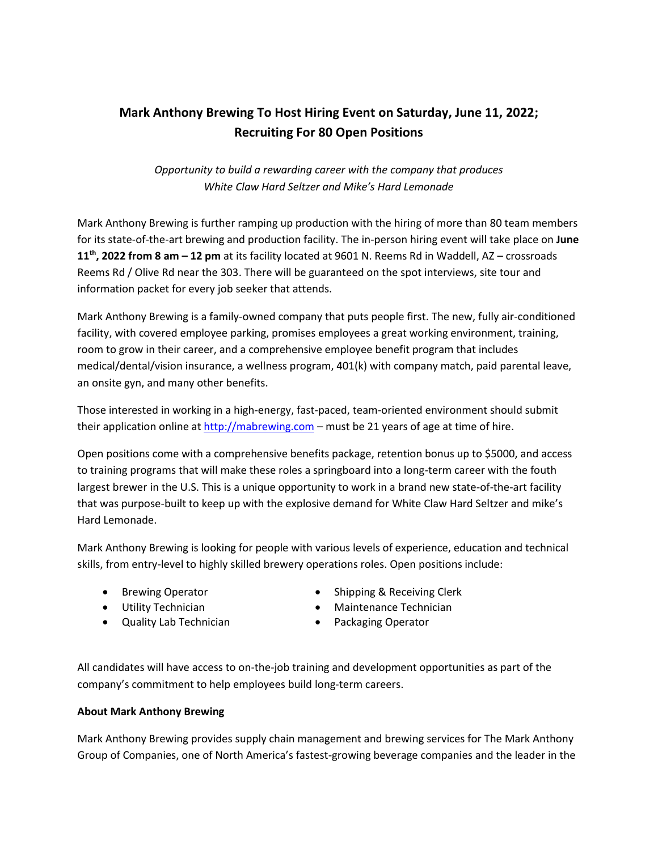## **Mark Anthony Brewing To Host Hiring Event on Saturday, June 11, 2022; Recruiting For 80 Open Positions**

*Opportunity to build a rewarding career with the company that produces White Claw Hard Seltzer and Mike's Hard Lemonade*

Mark Anthony Brewing is further ramping up production with the hiring of more than 80 team members for its state-of-the-art brewing and production facility. The in-person hiring event will take place on **June 11th, 2022 from 8 am – 12 pm** at its facility located at 9601 N. Reems Rd in Waddell, AZ – crossroads Reems Rd / Olive Rd near the 303. There will be guaranteed on the spot interviews, site tour and information packet for every job seeker that attends.

Mark Anthony Brewing is a family-owned company that puts people first. The new, fully air-conditioned facility, with covered employee parking, promises employees a great working environment, training, room to grow in their career, and a comprehensive employee benefit program that includes medical/dental/vision insurance, a wellness program, 401(k) with company match, paid parental leave, an onsite gyn, and many other benefits.

Those interested in working in a high-energy, fast-paced, team-oriented environment should submit their application online a[t http://mabrewing.com](http://mabrewing.com/) – must be 21 years of age at time of hire.

Open positions come with a comprehensive benefits package, retention bonus up to \$5000, and access to training programs that will make these roles a springboard into a long-term career with the fouth largest brewer in the U.S. This is a unique opportunity to work in a brand new state-of-the-art facility that was purpose-built to keep up with the explosive demand for White Claw Hard Seltzer and mike's Hard Lemonade.

Mark Anthony Brewing is looking for people with various levels of experience, education and technical skills, from entry-level to highly skilled brewery operations roles. Open positions include:

- Brewing Operator
- Utility Technician
- Quality Lab Technician
- Shipping & Receiving Clerk
- Maintenance Technician
- Packaging Operator

All candidates will have access to on-the-job training and development opportunities as part of the company's commitment to help employees build long-term careers.

## **About Mark Anthony Brewing**

Mark Anthony Brewing provides supply chain management and brewing services for The Mark Anthony Group of Companies, one of North America's fastest-growing beverage companies and the leader in the